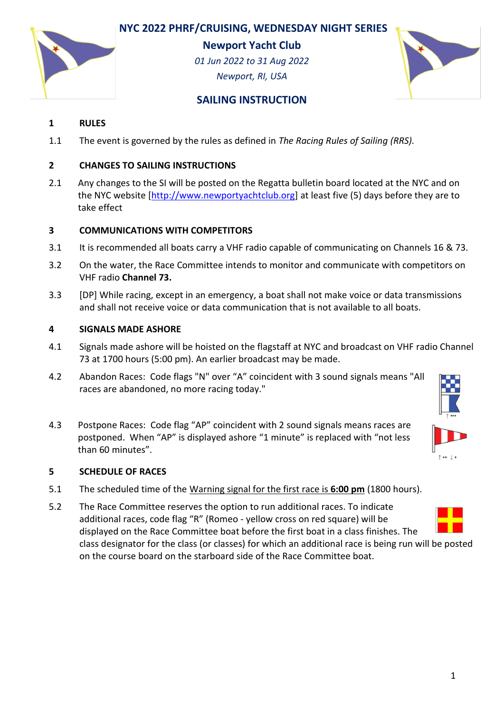# **NYC 2022 PHRF/CRUISING, WEDNESDAY NIGHT SERIES**



**Newport Yacht Club**

*01 Jun 2022 to 31 Aug 2022 Newport, RI, USA*



# **SAILING INSTRUCTION**

### **1 RULES**

1.1 The event is governed by the rules as defined in *The Racing Rules of Sailing (RRS).*

### **2 CHANGES TO SAILING INSTRUCTIONS**

2.1 Any changes to the SI will be posted on the Regatta bulletin board located at the NYC and on the NYC website [\[http://www.newportyachtclub.org\]](http://www.newportyachtclub.org/) at least five (5) days before they are to take effect

### **3 COMMUNICATIONS WITH COMPETITORS**

- 3.1 It is recommended all boats carry a VHF radio capable of communicating on Channels 16 & 73.
- 3.2 On the water, the Race Committee intends to monitor and communicate with competitors on VHF radio **Channel 73.**
- 3.3 [DP] While racing, except in an emergency, a boat shall not make voice or data transmissions and shall not receive voice or data communication that is not available to all boats.

#### **4 SIGNALS MADE ASHORE**

- 4.1 Signals made ashore will be hoisted on the flagstaff at NYC and broadcast on VHF radio Channel 73 at 1700 hours (5:00 pm). An earlier broadcast may be made.
- 4.2 Abandon Races: Code flags "N" over "A" coincident with 3 sound signals means "All races are abandoned, no more racing today."
- 4.3 Postpone Races: Code flag "AP" coincident with 2 sound signals means races are postponed. When "AP" is displayed ashore "1 minute" is replaced with "not less than 60 minutes".

#### **5 SCHEDULE OF RACES**

- 5.1 The scheduled time of the Warning signal for the first race is **6:00 pm** (1800 hours).
- 5.2 The Race Committee reserves the option to run additional races. To indicate additional races, code flag "R" (Romeo - yellow cross on red square) will be displayed on the Race Committee boat before the first boat in a class finishes. The class designator for the class (or classes) for which an additional race is being run will be posted on the course board on the starboard side of the Race Committee boat.

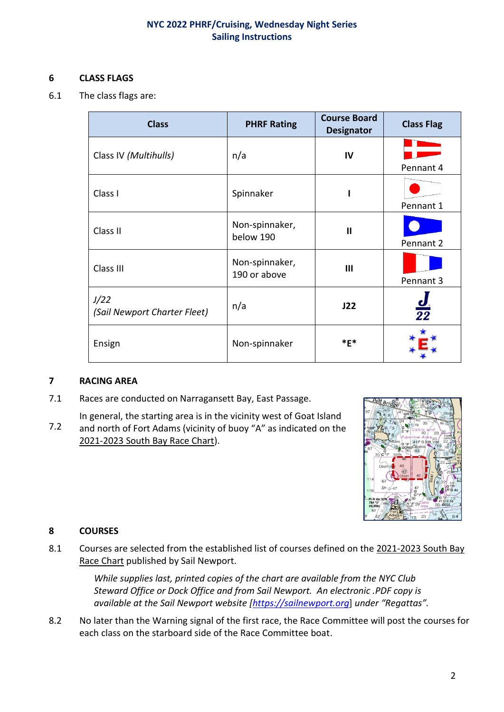### **6 CLASS FLAGS**

6.1 The class flags are:

| <b>Class</b>                         | <b>PHRF Rating</b>             | <b>Course Board</b><br><b>Designator</b> | <b>Class Flag</b> |
|--------------------------------------|--------------------------------|------------------------------------------|-------------------|
| Class IV (Multihulls)                | n/a                            | IV                                       |                   |
|                                      |                                |                                          | Pennant 4         |
| Class I                              | Spinnaker                      |                                          |                   |
|                                      |                                |                                          | Pennant 1         |
| Class II                             | Non-spinnaker,<br>below 190    | $\mathbf{I}$                             |                   |
|                                      |                                |                                          | Pennant 2         |
| Class III                            | Non-spinnaker,<br>190 or above | Ш                                        |                   |
|                                      |                                |                                          | Pennant 3         |
| J/22<br>(Sail Newport Charter Fleet) | n/a                            | J22                                      | $\frac{1}{22}$    |
| Ensign                               | Non-spinnaker                  | $*$ F $*$                                |                   |

#### **7 RACING AREA**

- 7.1 Races are conducted on Narragansett Bay, East Passage.
- 7.2 In general, the starting area is in the vicinity west of Goat Island and north of Fort Adams (vicinity of buoy "A" as indicated on the 2021-2023 South Bay Race Chart).



# **8 COURSES**

8.1 Courses are selected from the established list of courses defined on the 2021-2023 South Bay Race Chart published by Sail Newport.

> *While supplies last, printed copies of the chart are available from the NYC Club Steward Office or Dock Office and from Sail Newport. An electronic .PDF copy is available at the Sail Newport website [\[https://sailnewport.org](https://sailnewport.org/)*] *under "Regattas".*

8.2 No later than the Warning signal of the first race, the Race Committee will post the courses for each class on the starboard side of the Race Committee boat.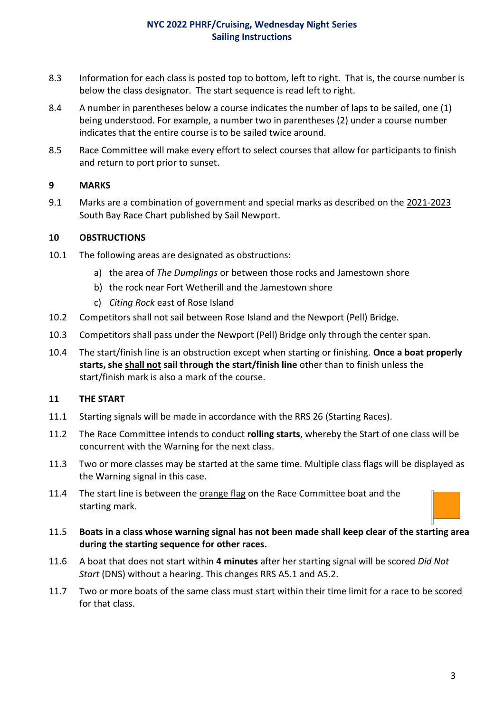- 8.3 Information for each class is posted top to bottom, left to right. That is, the course number is below the class designator. The start sequence is read left to right.
- 8.4 A number in parentheses below a course indicates the number of laps to be sailed, one (1) being understood. For example, a number two in parentheses (2) under a course number indicates that the entire course is to be sailed twice around.
- 8.5 Race Committee will make every effort to select courses that allow for participants to finish and return to port prior to sunset.

### **9 MARKS**

9.1 Marks are a combination of government and special marks as described on the 2021-2023 South Bay Race Chart published by Sail Newport.

### **10 OBSTRUCTIONS**

- 10.1 The following areas are designated as obstructions:
	- a) the area of *The Dumplings* or between those rocks and Jamestown shore
	- b) the rock near Fort Wetherill and the Jamestown shore
	- c) *Citing Rock* east of Rose Island
- 10.2 Competitors shall not sail between Rose Island and the Newport (Pell) Bridge.
- 10.3 Competitors shall pass under the Newport (Pell) Bridge only through the center span.
- 10.4 The start/finish line is an obstruction except when starting or finishing. **Once a boat properly starts, she shall not sail through the start/finish line** other than to finish unless the start/finish mark is also a mark of the course.

# **11 THE START**

- 11.1 Starting signals will be made in accordance with the RRS 26 (Starting Races).
- 11.2 The Race Committee intends to conduct **rolling starts**, whereby the Start of one class will be concurrent with the Warning for the next class.
- 11.3 Two or more classes may be started at the same time. Multiple class flags will be displayed as the Warning signal in this case.
- 11.4 The start line is between the orange flag on the Race Committee boat and the starting mark.
- 11.5 **Boats in a class whose warning signal has not been made shall keep clear of the starting area during the starting sequence for other races.**
- 11.6 A boat that does not start within **4 minutes** after her starting signal will be scored *Did Not Start* (DNS) without a hearing. This changes RRS A5.1 and A5.2.
- 11.7 Two or more boats of the same class must start within their time limit for a race to be scored for that class.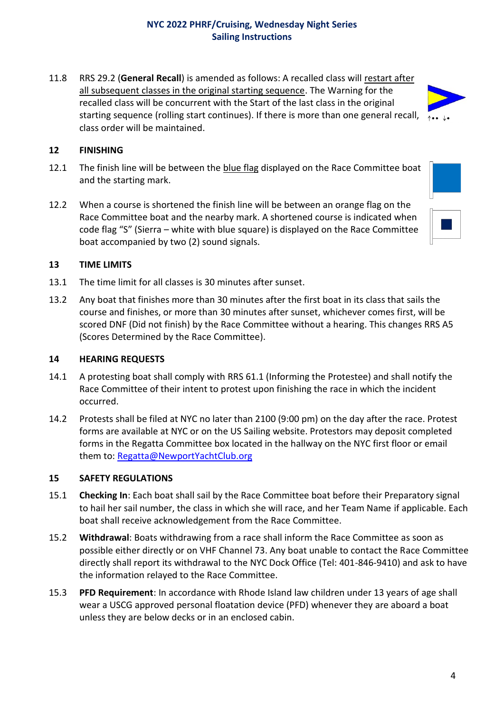11.8 RRS 29.2 (**General Recall**) is amended as follows: A recalled class will restart after all subsequent classes in the original starting sequence. The Warning for the recalled class will be concurrent with the Start of the last class in the original starting sequence (rolling start continues). If there is more than one general recall,  $\phi_{\bullet\bullet}$ class order will be maintained.

## **12 FINISHING**

- 12.1 The finish line will be between the blue flag displayed on the Race Committee boat and the starting mark.
- 12.2 When a course is shortened the finish line will be between an orange flag on the Race Committee boat and the nearby mark. A shortened course is indicated when code flag "S" (Sierra – white with blue square) is displayed on the Race Committee boat accompanied by two (2) sound signals.



#### **13 TIME LIMITS**

- 13.1 The time limit for all classes is 30 minutes after sunset.
- 13.2 Any boat that finishes more than 30 minutes after the first boat in its class that sails the course and finishes, or more than 30 minutes after sunset, whichever comes first, will be scored DNF (Did not finish) by the Race Committee without a hearing. This changes RRS A5 (Scores Determined by the Race Committee).

#### **14 HEARING REQUESTS**

- 14.1 A protesting boat shall comply with RRS 61.1 (Informing the Protestee) and shall notify the Race Committee of their intent to protest upon finishing the race in which the incident occurred.
- 14.2 Protests shall be filed at NYC no later than 2100 (9:00 pm) on the day after the race. Protest forms are available at NYC or on the US Sailing website. Protestors may deposit completed forms in the Regatta Committee box located in the hallway on the NYC first floor or email them to: [Regatta@NewportYachtClub.org](mailto:Regatta@NewportYachtClub.org)

#### **15 SAFETY REGULATIONS**

- 15.1 **Checking In**: Each boat shall sail by the Race Committee boat before their Preparatory signal to hail her sail number, the class in which she will race, and her Team Name if applicable. Each boat shall receive acknowledgement from the Race Committee.
- 15.2 **Withdrawal**: Boats withdrawing from a race shall inform the Race Committee as soon as possible either directly or on VHF Channel 73. Any boat unable to contact the Race Committee directly shall report its withdrawal to the NYC Dock Office (Tel: 401-846-9410) and ask to have the information relayed to the Race Committee.
- 15.3 **PFD Requirement**: In accordance with Rhode Island law children under 13 years of age shall wear a USCG approved personal floatation device (PFD) whenever they are aboard a boat unless they are below decks or in an enclosed cabin.